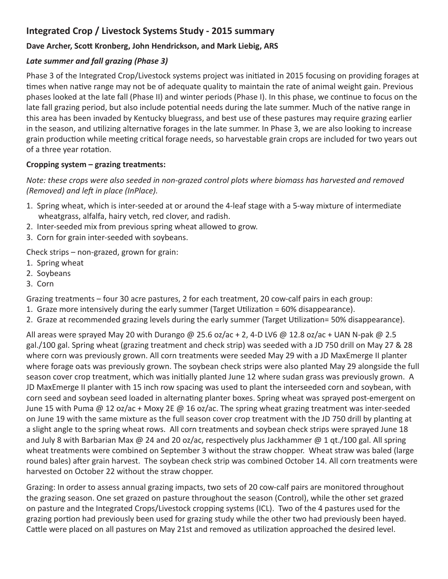## **Integrated Crop / Livestock Systems Study - 2015 summary**

## **Dave Archer, Scott Kronberg, John Hendrickson, and Mark Liebig, ARS**

## *Late summer and fall grazing (Phase 3)*

Phase 3 of the Integrated Crop/Livestock systems project was initiated in 2015 focusing on providing forages at times when native range may not be of adequate quality to maintain the rate of animal weight gain. Previous phases looked at the late fall (Phase II) and winter periods (Phase I). In this phase, we continue to focus on the late fall grazing period, but also include potential needs during the late summer. Much of the native range in this area has been invaded by Kentucky bluegrass, and best use of these pastures may require grazing earlier in the season, and utilizing alternative forages in the late summer. In Phase 3, we are also looking to increase grain production while meeting critical forage needs, so harvestable grain crops are included for two years out of a three year rotation.

## **Cropping system – grazing treatments:**

*Note: these crops were also seeded in non-grazed control plots where biomass has harvested and removed (Removed) and left in place (InPlace).* 

- 1. Spring wheat, which is inter-seeded at or around the 4-leaf stage with a 5-way mixture of intermediate wheatgrass, alfalfa, hairy vetch, red clover, and radish.
- 2. Inter-seeded mix from previous spring wheat allowed to grow.
- 3. Corn for grain inter-seeded with soybeans.

Check strips – non-grazed, grown for grain:

- 1. Spring wheat
- 2. Soybeans
- 3. Corn

Grazing treatments – four 30 acre pastures, 2 for each treatment, 20 cow-calf pairs in each group:

- 1. Graze more intensively during the early summer (Target Utilization = 60% disappearance).
- 2. Graze at recommended grazing levels during the early summer (Target Utilization= 50% disappearance).

All areas were sprayed May 20 with Durango @ 25.6 oz/ac + 2, 4-D LV6 @ 12.8 oz/ac + UAN N-pak @ 2.5 gal./100 gal. Spring wheat (grazing treatment and check strip) was seeded with a JD 750 drill on May 27 & 28 where corn was previously grown. All corn treatments were seeded May 29 with a JD MaxEmerge II planter where forage oats was previously grown. The soybean check strips were also planted May 29 alongside the full season cover crop treatment, which was initially planted June 12 where sudan grass was previously grown. A JD MaxEmerge II planter with 15 inch row spacing was used to plant the interseeded corn and soybean, with corn seed and soybean seed loaded in alternating planter boxes. Spring wheat was sprayed post-emergent on June 15 with Puma @ 12 oz/ac + Moxy 2E @ 16 oz/ac. The spring wheat grazing treatment was inter-seeded on June 19 with the same mixture as the full season cover crop treatment with the JD 750 drill by planting at a slight angle to the spring wheat rows. All corn treatments and soybean check strips were sprayed June 18 and July 8 with Barbarian Max @ 24 and 20 oz/ac, respectively plus Jackhammer @ 1 qt./100 gal. All spring wheat treatments were combined on September 3 without the straw chopper. Wheat straw was baled (large round bales) after grain harvest. The soybean check strip was combined October 14. All corn treatments were harvested on October 22 without the straw chopper.

Grazing: In order to assess annual grazing impacts, two sets of 20 cow-calf pairs are monitored throughout the grazing season. One set grazed on pasture throughout the season (Control), while the other set grazed on pasture and the Integrated Crops/Livestock cropping systems (ICL). Two of the 4 pastures used for the grazing portion had previously been used for grazing study while the other two had previously been hayed. Cattle were placed on all pastures on May 21st and removed as utilization approached the desired level.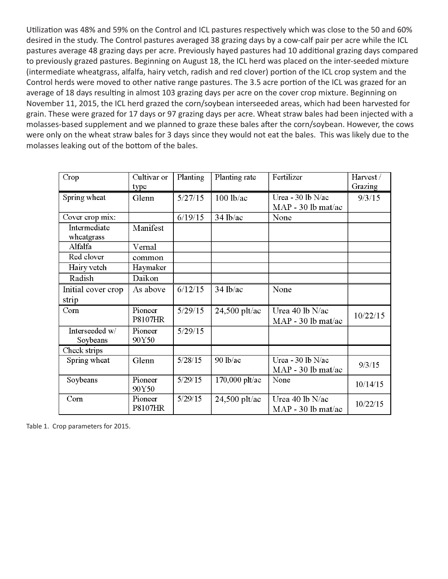Utilization was 48% and 59% on the Control and ICL pastures respectively which was close to the 50 and 60% desired in the study. The Control pastures averaged 38 grazing days by a cow-calf pair per acre while the ICL pastures average 48 grazing days per acre. Previously hayed pastures had 10 additional grazing days compared to previously grazed pastures. Beginning on August 18, the ICL herd was placed on the inter-seeded mixture (intermediate wheatgrass, alfalfa, hairy vetch, radish and red clover) portion of the ICL crop system and the Control herds were moved to other native range pastures. The 3.5 acre portion of the ICL was grazed for an average of 18 days resulting in almost 103 grazing days per acre on the cover crop mixture. Beginning on November 11, 2015, the ICL herd grazed the corn/soybean interseeded areas, which had been harvested for grain. These were grazed for 17 days or 97 grazing days per acre. Wheat straw bales had been injected with a molasses-based supplement and we planned to graze these bales after the corn/soybean. However, the cows were only on the wheat straw bales for 3 days since they would not eat the bales. This was likely due to the molasses leaking out of the bottom of the bales.

| Crop               | Cultivar or    | Planting | Planting rate   | Fertilizer           | Harvest/ |
|--------------------|----------------|----------|-----------------|----------------------|----------|
|                    | type           |          |                 |                      | Grazing  |
| Spring wheat       | Glenn          | 5/27/15  | $100$ lb/ac     | Urea - 30 lb $N/ac$  | 9/3/15   |
|                    |                |          |                 | MAP - 30 lb mat/ac   |          |
| Cover crop mix:    |                | 6/19/15  | $34$ lb/ac      | None                 |          |
| Intermediate       | Manifest       |          |                 |                      |          |
| wheatgrass         |                |          |                 |                      |          |
| Alfalfa            | Vernal         |          |                 |                      |          |
| Red clover         | common         |          |                 |                      |          |
| Hairy vetch        | Haymaker       |          |                 |                      |          |
| Radish             | Daikon         |          |                 |                      |          |
| Initial cover crop | As above       | 6/12/15  | $34$ lb/ac      | None                 |          |
| strip              |                |          |                 |                      |          |
| Com                | Pioneer        | 5/29/15  | $24,500$ plt/ac | Urea 40 lb N/ac      | 10/22/15 |
|                    | <b>P8107HR</b> |          |                 | $MAP - 30 lb$ mat/ac |          |
| Interseeded w/     | Pioneer        | 5/29/15  |                 |                      |          |
| Soybeans           | 90Y50          |          |                 |                      |          |
| Check strips       |                |          |                 |                      |          |
| Spring wheat       | Glenn          | 5/28/15  | 90 lb/ac        | Urea - 30 lb N/ac    | 9/3/15   |
|                    |                |          |                 | $MAP - 30 lb$ mat/ac |          |
| Soybeans           | Pioneer        | 5/29/15  | 170,000 plt/ac  | None                 | 10/14/15 |
|                    | 90Y50          |          |                 |                      |          |
| Corn               | Pioneer        | 5/29/15  | $24,500$ plt/ac | Urea 40 lb N/ac      | 10/22/15 |
|                    | <b>P8107HR</b> |          |                 | $MAP - 30 lb$ mat/ac |          |

Table 1. Crop parameters for 2015.